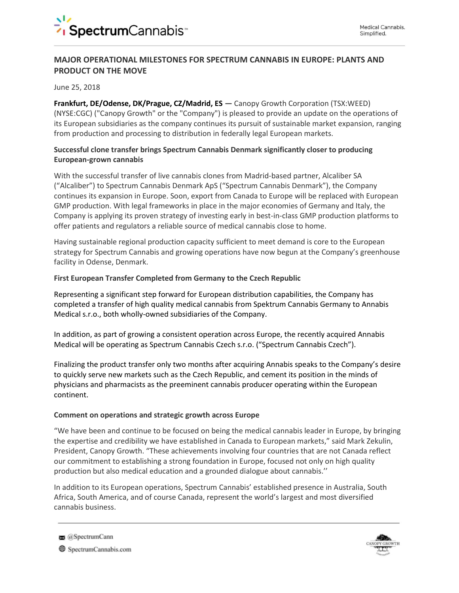## **MAJOR OPERATIONAL MILESTONES FOR SPECTRUM CANNABIS IN EUROPE: PLANTS AND PRODUCT ON THE MOVE**

June 25, 2018

**Frankfurt, DE/Odense, DK/Prague, CZ/Madrid, ES —** Canopy Growth Corporation (TSX:WEED) (NYSE:CGC) ("Canopy Growth" or the "Company") is pleased to provide an update on the operations of its European subsidiaries as the company continues its pursuit of sustainable market expansion, ranging from production and processing to distribution in federally legal European markets.

## **Successful clone transfer brings Spectrum Cannabis Denmark significantly closer to producing European-grown cannabis**

With the successful transfer of live cannabis clones from Madrid-based partner, Alcaliber SA ("Alcaliber") to Spectrum Cannabis Denmark ApS ("Spectrum Cannabis Denmark"), the Company continues its expansion in Europe. Soon, export from Canada to Europe will be replaced with European GMP production. With legal frameworks in place in the major economies of Germany and Italy, the Company is applying its proven strategy of investing early in best-in-class GMP production platforms to offer patients and regulators a reliable source of medical cannabis close to home.

Having sustainable regional production capacity sufficient to meet demand is core to the European strategy for Spectrum Cannabis and growing operations have now begun at the Company's greenhouse facility in Odense, Denmark.

#### **First European Transfer Completed from Germany to the Czech Republic**

Representing a significant step forward for European distribution capabilities, the Company has completed a transfer of high quality medical cannabis from Spektrum Cannabis Germany to Annabis Medical s.r.o., both wholly-owned subsidiaries of the Company.

In addition, as part of growing a consistent operation across Europe, the recently acquired Annabis Medical will be operating as Spectrum Cannabis Czech s.r.o. ("Spectrum Cannabis Czech").

Finalizing the product transfer only two months after acquiring Annabis speaks to the Company's desire to quickly serve new markets such as the Czech Republic, and cement its position in the minds of physicians and pharmacists as the preeminent cannabis producer operating within the European continent.

#### **Comment on operations and strategic growth across Europe**

"We have been and continue to be focused on being the medical cannabis leader in Europe, by bringing the expertise and credibility we have established in Canada to European markets," said Mark Zekulin, President, Canopy Growth. "These achievements involving four countries that are not Canada reflect our commitment to establishing a strong foundation in Europe, focused not only on high quality production but also medical education and a grounded dialogue about cannabis.''

In addition to its European operations, Spectrum Cannabis' established presence in Australia, South Africa, South America, and of course Canada, represent the world's largest and most diversified cannabis business.



 $\approx$  @SpectrumCann

SpectrumCannabis.com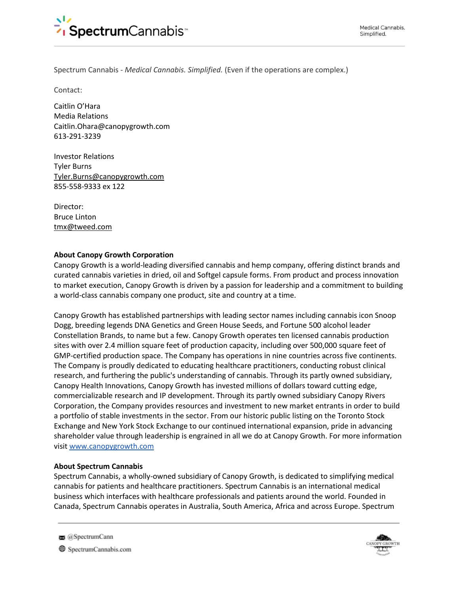

Spectrum Cannabis - *Medical Cannabis. Simplified.* (Even if the operations are complex.)

Contact:

Caitlin O'Hara Media Relations [Caitlin.Ohara@canopygrowth.com](mailto:Caitlin.ohara@canopygrowth.com) 613-291-3239

Investor Relations Tyler Burns [Tyler.Burns@canopygrowth.com](mailto:Tyler.Burns@canopygrowth.com) 855-558-9333 ex 122

Director: Bruce Linton [tmx@tweed.com](mailto:tmx@tweed.com)

#### **About Canopy Growth Corporation**

Canopy Growth is a world-leading diversified cannabis and hemp company, offering distinct brands and curated cannabis varieties in dried, oil and Softgel capsule forms. From product and process innovation to market execution, Canopy Growth is driven by a passion for leadership and a commitment to building a world-class cannabis company one product, site and country at a time.

Canopy Growth has established partnerships with leading sector names including cannabis icon Snoop Dogg, breeding legends DNA Genetics and Green House Seeds, and Fortune 500 alcohol leader Constellation Brands, to name but a few. Canopy Growth operates ten licensed cannabis production sites with over 2.4 million square feet of production capacity, including over 500,000 square feet of GMP-certified production space. The Company has operations in nine countries across five continents. The Company is proudly dedicated to educating healthcare practitioners, conducting robust clinical research, and furthering the public's understanding of cannabis. Through its partly owned subsidiary, Canopy Health Innovations, Canopy Growth has invested millions of dollars toward cutting edge, commercializable research and IP development. Through its partly owned subsidiary Canopy Rivers Corporation, the Company provides resources and investment to new market entrants in order to build a portfolio of stable investments in the sector. From our historic public listing on the Toronto Stock Exchange and New York Stock Exchange to our continued international expansion, pride in advancing shareholder value through leadership is engrained in all we do at Canopy Growth. For more information visit [www.canopygrowth.com](http://www.canopygrowth.com/)

#### **About Spectrum Cannabis**

Spectrum Cannabis, a wholly-owned subsidiary of Canopy Growth, is dedicated to simplifying medical cannabis for patients and healthcare practitioners. Spectrum Cannabis is an international medical business which interfaces with healthcare professionals and patients around the world. Founded in Canada, Spectrum Cannabis operates in Australia, South America, Africa and across Europe. Spectrum